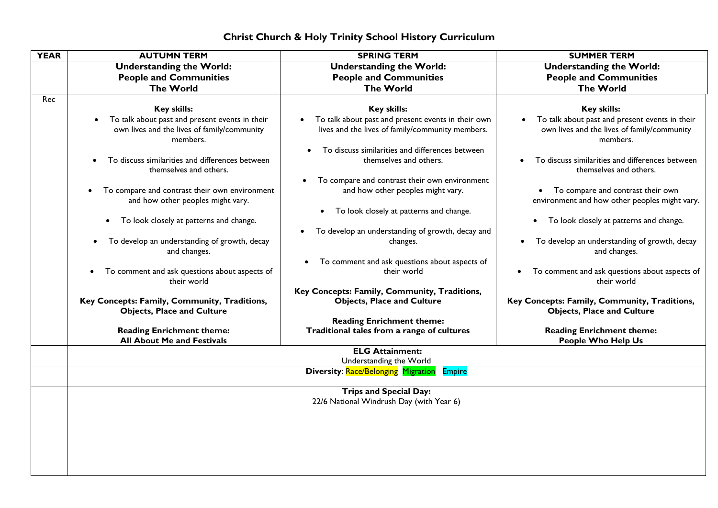## **Christ Church & Holy Trinity School History Curriculum**

| <b>YEAR</b> | <b>AUTUMN TERM</b>                                                                                        | <b>SPRING TERM</b>                                                                                                  | <b>SUMMER TERM</b>                                                                                        |
|-------------|-----------------------------------------------------------------------------------------------------------|---------------------------------------------------------------------------------------------------------------------|-----------------------------------------------------------------------------------------------------------|
|             | <b>Understanding the World:</b>                                                                           | <b>Understanding the World:</b>                                                                                     | <b>Understanding the World:</b>                                                                           |
|             | <b>People and Communities</b>                                                                             | <b>People and Communities</b>                                                                                       | <b>People and Communities</b>                                                                             |
|             | <b>The World</b>                                                                                          | <b>The World</b>                                                                                                    | <b>The World</b>                                                                                          |
| Rec         |                                                                                                           |                                                                                                                     |                                                                                                           |
|             | <b>Key skills:</b>                                                                                        | <b>Key skills:</b>                                                                                                  | Key skills:                                                                                               |
|             | To talk about past and present events in their<br>own lives and the lives of family/community<br>members. | To talk about past and present events in their own<br>$\bullet$<br>lives and the lives of family/community members. | To talk about past and present events in their<br>own lives and the lives of family/community<br>members. |
|             | To discuss similarities and differences between<br>themselves and others.                                 | To discuss similarities and differences between<br>themselves and others.                                           | To discuss similarities and differences between<br>themselves and others.                                 |
|             | To compare and contrast their own environment<br>$\bullet$<br>and how other peoples might vary.           | To compare and contrast their own environment<br>and how other peoples might vary.                                  | To compare and contrast their own<br>environment and how other peoples might vary.                        |
|             | To look closely at patterns and change.<br>$\bullet$                                                      | To look closely at patterns and change.<br>$\bullet$                                                                | To look closely at patterns and change.<br>$\bullet$                                                      |
|             | To develop an understanding of growth, decay<br>$\bullet$<br>and changes.                                 | To develop an understanding of growth, decay and<br>$\bullet$<br>changes.                                           | To develop an understanding of growth, decay<br>and changes.                                              |
|             | To comment and ask questions about aspects of<br>their world                                              | To comment and ask questions about aspects of<br>their world                                                        | To comment and ask questions about aspects of<br>$\bullet$<br>their world                                 |
|             | Key Concepts: Family, Community, Traditions,<br><b>Objects, Place and Culture</b>                         | Key Concepts: Family, Community, Traditions,<br><b>Objects, Place and Culture</b>                                   | Key Concepts: Family, Community, Traditions,<br><b>Objects, Place and Culture</b>                         |
|             | <b>Reading Enrichment theme:</b><br><b>All About Me and Festivals</b>                                     | <b>Reading Enrichment theme:</b><br>Traditional tales from a range of cultures                                      | <b>Reading Enrichment theme:</b><br><b>People Who Help Us</b>                                             |
|             |                                                                                                           | <b>ELG Attainment:</b><br>Understanding the World                                                                   |                                                                                                           |
|             |                                                                                                           | <b>Diversity: Race/Belonging Migration</b><br><b>Empire</b>                                                         |                                                                                                           |
|             |                                                                                                           | <b>Trips and Special Day:</b>                                                                                       |                                                                                                           |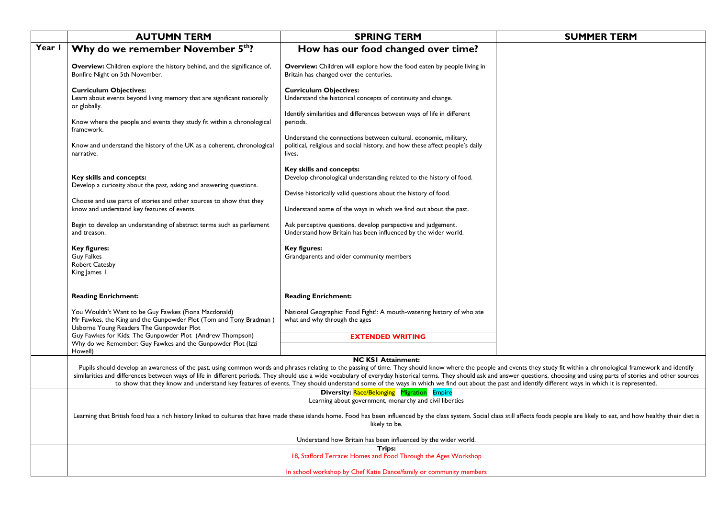|        | <b>AUTUMN TERM</b>                                                                                                                                                    | <b>SPRING TERM</b>                                                                                                                                                                                                                                                                                                                                                                                                                                                                                                                                                                                                                                               | <b>SUMMER TERM</b> |
|--------|-----------------------------------------------------------------------------------------------------------------------------------------------------------------------|------------------------------------------------------------------------------------------------------------------------------------------------------------------------------------------------------------------------------------------------------------------------------------------------------------------------------------------------------------------------------------------------------------------------------------------------------------------------------------------------------------------------------------------------------------------------------------------------------------------------------------------------------------------|--------------------|
| Year I | Why do we remember November 5th?                                                                                                                                      | How has our food changed over time?                                                                                                                                                                                                                                                                                                                                                                                                                                                                                                                                                                                                                              |                    |
|        | Overview: Children explore the history behind, and the significance of,<br>Bonfire Night on 5th November.                                                             | <b>Overview:</b> Children will explore how the food eaten by people living in<br>Britain has changed over the centuries.                                                                                                                                                                                                                                                                                                                                                                                                                                                                                                                                         |                    |
|        | <b>Curriculum Objectives:</b><br>Learn about events beyond living memory that are significant nationally<br>or globally.                                              | <b>Curriculum Objectives:</b><br>Understand the historical concepts of continuity and change.                                                                                                                                                                                                                                                                                                                                                                                                                                                                                                                                                                    |                    |
|        | Know where the people and events they study fit within a chronological<br>framework.                                                                                  | Identify similarities and differences between ways of life in different<br>periods.                                                                                                                                                                                                                                                                                                                                                                                                                                                                                                                                                                              |                    |
|        | Know and understand the history of the UK as a coherent, chronological<br>narrative.                                                                                  | Understand the connections between cultural, economic, military,<br>political, religious and social history, and how these affect people's daily<br>lives.                                                                                                                                                                                                                                                                                                                                                                                                                                                                                                       |                    |
|        | Key skills and concepts:<br>Develop a curiosity about the past, asking and answering questions.                                                                       | Key skills and concepts:<br>Develop chronological understanding related to the history of food.                                                                                                                                                                                                                                                                                                                                                                                                                                                                                                                                                                  |                    |
|        | Choose and use parts of stories and other sources to show that they                                                                                                   | Devise historically valid questions about the history of food.                                                                                                                                                                                                                                                                                                                                                                                                                                                                                                                                                                                                   |                    |
|        | know and understand key features of events.                                                                                                                           | Understand some of the ways in which we find out about the past.                                                                                                                                                                                                                                                                                                                                                                                                                                                                                                                                                                                                 |                    |
|        | Begin to develop an understanding of abstract terms such as parliament<br>and treason.                                                                                | Ask perceptive questions, develop perspective and judgement.<br>Understand how Britain has been influenced by the wider world.                                                                                                                                                                                                                                                                                                                                                                                                                                                                                                                                   |                    |
|        | <b>Key figures:</b><br><b>Guy Falkes</b><br>Robert Catesby<br>King James 1                                                                                            | Key figures:<br>Grandparents and older community members                                                                                                                                                                                                                                                                                                                                                                                                                                                                                                                                                                                                         |                    |
|        | <b>Reading Enrichment:</b>                                                                                                                                            | <b>Reading Enrichment:</b>                                                                                                                                                                                                                                                                                                                                                                                                                                                                                                                                                                                                                                       |                    |
|        | You Wouldn't Want to be Guy Fawkes (Fiona Macdonald)<br>Mr Fawkes, the King and the Gunpowder Plot (Tom and Tony Bradman)<br>Usborne Young Readers The Gunpowder Plot | National Geographic: Food Fight!: A mouth-watering history of who ate<br>what and why through the ages                                                                                                                                                                                                                                                                                                                                                                                                                                                                                                                                                           |                    |
|        | Guy Fawkes for Kids: The Gunpowder Plot (Andrew Thompson)                                                                                                             | <b>EXTENDED WRITING</b>                                                                                                                                                                                                                                                                                                                                                                                                                                                                                                                                                                                                                                          |                    |
|        | Why do we Remember: Guy Fawkes and the Gunpowder Plot (Izzi<br>Howell)                                                                                                |                                                                                                                                                                                                                                                                                                                                                                                                                                                                                                                                                                                                                                                                  |                    |
|        |                                                                                                                                                                       | <b>NC KSI Attainment:</b>                                                                                                                                                                                                                                                                                                                                                                                                                                                                                                                                                                                                                                        |                    |
|        |                                                                                                                                                                       | Pupils should develop an awareness of the past, using common words and phrases relating to the passing of time. They should know where the people and events they study fit within a chronological framework and identify<br>similarities and differences between ways of life in different periods. They should use a wide vocabulary of everyday historical terms. They should ask and answer questions, choosing and using parts of stories and other so<br>to show that they know and understand key features of events. They should understand some of the ways in which we find out about the past and identify different ways in which it is represented. |                    |
|        |                                                                                                                                                                       | <b>Diversity: Race/Belonging Migration Empire</b>                                                                                                                                                                                                                                                                                                                                                                                                                                                                                                                                                                                                                |                    |
|        |                                                                                                                                                                       | Learning about government, monarchy and civil liberties                                                                                                                                                                                                                                                                                                                                                                                                                                                                                                                                                                                                          |                    |
|        |                                                                                                                                                                       | Learning that British food has a rich history linked to cultures that have made these islands home. Food has been influenced by the class system. Social class still affects foods people are likely to eat, and how healthy t<br>likely to be.                                                                                                                                                                                                                                                                                                                                                                                                                  |                    |
|        |                                                                                                                                                                       | Understand how Britain has been influenced by the wider world.                                                                                                                                                                                                                                                                                                                                                                                                                                                                                                                                                                                                   |                    |
|        |                                                                                                                                                                       | Trips:                                                                                                                                                                                                                                                                                                                                                                                                                                                                                                                                                                                                                                                           |                    |
|        |                                                                                                                                                                       | 18, Stafford Terrace: Homes and Food Through the Ages Workshop                                                                                                                                                                                                                                                                                                                                                                                                                                                                                                                                                                                                   |                    |
|        |                                                                                                                                                                       | In school workshop by Chef Katie Dance/family or community members                                                                                                                                                                                                                                                                                                                                                                                                                                                                                                                                                                                               |                    |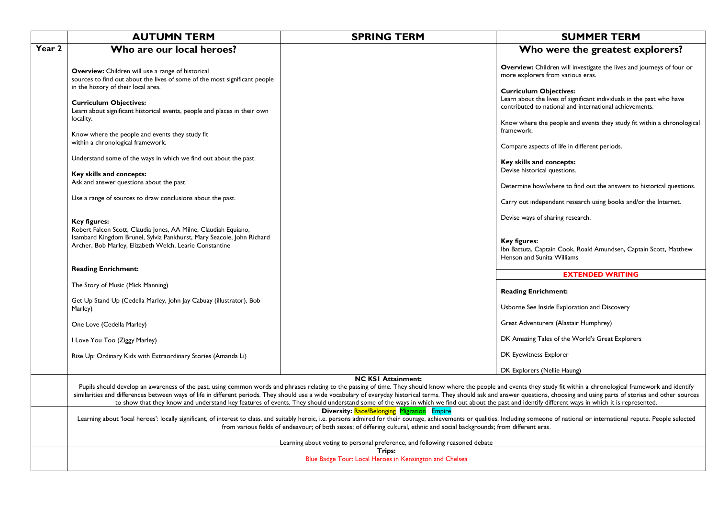|        | <b>AUTUMN TERM</b>                                                                                                                                                            | <b>SPRING TERM</b>                                                                                                                                                                                                                                                                                                                                                                                                                                                                                                                                                                                                                                               | <b>SUMMER TERM</b>                                                                                                                                                                                                          |
|--------|-------------------------------------------------------------------------------------------------------------------------------------------------------------------------------|------------------------------------------------------------------------------------------------------------------------------------------------------------------------------------------------------------------------------------------------------------------------------------------------------------------------------------------------------------------------------------------------------------------------------------------------------------------------------------------------------------------------------------------------------------------------------------------------------------------------------------------------------------------|-----------------------------------------------------------------------------------------------------------------------------------------------------------------------------------------------------------------------------|
| Year 2 | Who are our local heroes?                                                                                                                                                     |                                                                                                                                                                                                                                                                                                                                                                                                                                                                                                                                                                                                                                                                  | Who were the greatest explorers?                                                                                                                                                                                            |
|        | <b>Overview:</b> Children will use a range of historical<br>sources to find out about the lives of some of the most significant people<br>in the history of their local area. |                                                                                                                                                                                                                                                                                                                                                                                                                                                                                                                                                                                                                                                                  | <b>Overview:</b> Children will investigate the lives and journeys of four or<br>more explorers from various eras.<br><b>Curriculum Objectives:</b><br>Learn about the lives of significant individuals in the past who have |
|        | <b>Curriculum Objectives:</b><br>Learn about significant historical events, people and places in their own<br>locality.                                                       |                                                                                                                                                                                                                                                                                                                                                                                                                                                                                                                                                                                                                                                                  | contributed to national and international achievements.<br>Know where the people and events they study fit within a chronological<br>framework.                                                                             |
|        | Know where the people and events they study fit<br>within a chronological framework.                                                                                          |                                                                                                                                                                                                                                                                                                                                                                                                                                                                                                                                                                                                                                                                  | Compare aspects of life in different periods.                                                                                                                                                                               |
|        | Understand some of the ways in which we find out about the past.<br>Key skills and concepts:                                                                                  |                                                                                                                                                                                                                                                                                                                                                                                                                                                                                                                                                                                                                                                                  | Key skills and concepts:<br>Devise historical questions.                                                                                                                                                                    |
|        | Ask and answer questions about the past.                                                                                                                                      |                                                                                                                                                                                                                                                                                                                                                                                                                                                                                                                                                                                                                                                                  | Determine how/where to find out the answers to historical questions.                                                                                                                                                        |
|        | Use a range of sources to draw conclusions about the past.                                                                                                                    |                                                                                                                                                                                                                                                                                                                                                                                                                                                                                                                                                                                                                                                                  | Carry out independent research using books and/or the Internet.                                                                                                                                                             |
|        | <b>Key figures:</b><br>Robert Falcon Scott, Claudia Jones, AA Milne, Claudiah Equiano,                                                                                        |                                                                                                                                                                                                                                                                                                                                                                                                                                                                                                                                                                                                                                                                  | Devise ways of sharing research.                                                                                                                                                                                            |
|        | Isambard Kingdom Brunel, Sylvia Pankhurst, Mary Seacole, John Richard<br>Archer, Bob Marley, Elizabeth Welch, Learie Constantine                                              |                                                                                                                                                                                                                                                                                                                                                                                                                                                                                                                                                                                                                                                                  | Key figures:<br>Ibn Battuta, Captain Cook, Roald Amundsen, Captain Scott, Matthew<br>Henson and Sunita Williams                                                                                                             |
|        | <b>Reading Enrichment:</b>                                                                                                                                                    |                                                                                                                                                                                                                                                                                                                                                                                                                                                                                                                                                                                                                                                                  | <b>EXTENDED WRITING</b>                                                                                                                                                                                                     |
|        | The Story of Music (Mick Manning)                                                                                                                                             |                                                                                                                                                                                                                                                                                                                                                                                                                                                                                                                                                                                                                                                                  | <b>Reading Enrichment:</b>                                                                                                                                                                                                  |
|        | Get Up Stand Up (Cedella Marley, John Jay Cabuay (illustrator), Bob<br>Marley)                                                                                                |                                                                                                                                                                                                                                                                                                                                                                                                                                                                                                                                                                                                                                                                  | Usborne See Inside Exploration and Discovery                                                                                                                                                                                |
|        | One Love (Cedella Marley)                                                                                                                                                     |                                                                                                                                                                                                                                                                                                                                                                                                                                                                                                                                                                                                                                                                  | Great Adventurers (Alastair Humphrey)                                                                                                                                                                                       |
|        | I Love You Too (Ziggy Marley)                                                                                                                                                 |                                                                                                                                                                                                                                                                                                                                                                                                                                                                                                                                                                                                                                                                  | DK Amazing Tales of the World's Great Explorers                                                                                                                                                                             |
|        | Rise Up: Ordinary Kids with Extraordinary Stories (Amanda Li)                                                                                                                 |                                                                                                                                                                                                                                                                                                                                                                                                                                                                                                                                                                                                                                                                  | DK Eyewitness Explorer                                                                                                                                                                                                      |
|        |                                                                                                                                                                               | <b>NC KSI Attainment:</b>                                                                                                                                                                                                                                                                                                                                                                                                                                                                                                                                                                                                                                        | DK Explorers (Nellie Haung)                                                                                                                                                                                                 |
|        |                                                                                                                                                                               | Pupils should develop an awareness of the past, using common words and phrases relating to the passing of time. They should know where the people and events they study fit within a chronological framework and identify<br>similarities and differences between ways of life in different periods. They should use a wide vocabulary of everyday historical terms. They should ask and answer questions, choosing and using parts of stories and other so<br>to show that they know and understand key features of events. They should understand some of the ways in which we find out about the past and identify different ways in which it is represented. |                                                                                                                                                                                                                             |
|        |                                                                                                                                                                               | <b>Diversity: Race/Belonging Migration Empire</b><br>Learning about 'local heroes': locally significant, of interest to class, and suitably heroic, i.e. persons admired for their courage, achievements or qualities. Including someone of national or international repute. Peopl<br>from various fields of endeavour; of both sexes; of differing cultural, ethnic and social backgrounds; from different eras.                                                                                                                                                                                                                                               |                                                                                                                                                                                                                             |
|        |                                                                                                                                                                               | Learning about voting to personal preference, and following reasoned debate<br>Trips:                                                                                                                                                                                                                                                                                                                                                                                                                                                                                                                                                                            |                                                                                                                                                                                                                             |
|        |                                                                                                                                                                               | Blue Badge Tour: Local Heroes in Kensington and Chelsea                                                                                                                                                                                                                                                                                                                                                                                                                                                                                                                                                                                                          |                                                                                                                                                                                                                             |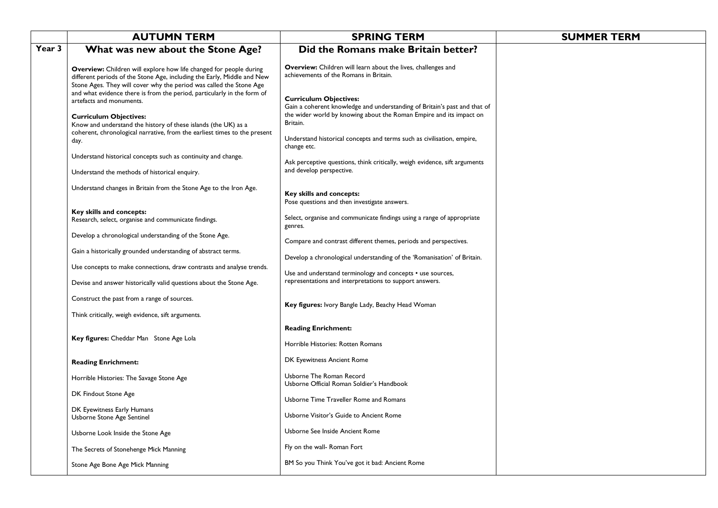|        | <b>AUTUMN TERM</b>                                                                                                                                                                                                   | <b>SPRING TERM</b>                                                                                                                                                                            | <b>SUMMER TERM</b> |
|--------|----------------------------------------------------------------------------------------------------------------------------------------------------------------------------------------------------------------------|-----------------------------------------------------------------------------------------------------------------------------------------------------------------------------------------------|--------------------|
| Year 3 | What was new about the Stone Age?                                                                                                                                                                                    | Did the Romans make Britain better?                                                                                                                                                           |                    |
|        | Overview: Children will explore how life changed for people during<br>different periods of the Stone Age, including the Early, Middle and New<br>Stone Ages. They will cover why the period was called the Stone Age | Overview: Children will learn about the lives, challenges and<br>achievements of the Romans in Britain.                                                                                       |                    |
|        | and what evidence there is from the period, particularly in the form of<br>artefacts and monuments.<br><b>Curriculum Objectives:</b><br>Know and understand the history of these islands (the UK) as a               | <b>Curriculum Objectives:</b><br>Gain a coherent knowledge and understanding of Britain's past and that of<br>the wider world by knowing about the Roman Empire and its impact on<br>Britain. |                    |
|        | coherent, chronological narrative, from the earliest times to the present<br>day.                                                                                                                                    | Understand historical concepts and terms such as civilisation, empire,<br>change etc.                                                                                                         |                    |
|        | Understand historical concepts such as continuity and change.<br>Understand the methods of historical enquiry.                                                                                                       | Ask perceptive questions, think critically, weigh evidence, sift arguments<br>and develop perspective.                                                                                        |                    |
|        | Understand changes in Britain from the Stone Age to the Iron Age.                                                                                                                                                    | Key skills and concepts:<br>Pose questions and then investigate answers.                                                                                                                      |                    |
|        | Key skills and concepts:<br>Research, select, organise and communicate findings.                                                                                                                                     | Select, organise and communicate findings using a range of appropriate<br>genres.                                                                                                             |                    |
|        | Develop a chronological understanding of the Stone Age.                                                                                                                                                              | Compare and contrast different themes, periods and perspectives.                                                                                                                              |                    |
|        | Gain a historically grounded understanding of abstract terms.                                                                                                                                                        | Develop a chronological understanding of the 'Romanisation' of Britain.                                                                                                                       |                    |
|        | Use concepts to make connections, draw contrasts and analyse trends.                                                                                                                                                 | Use and understand terminology and concepts • use sources,                                                                                                                                    |                    |
|        | Devise and answer historically valid questions about the Stone Age.                                                                                                                                                  | representations and interpretations to support answers.                                                                                                                                       |                    |
|        | Construct the past from a range of sources.                                                                                                                                                                          | Key figures: Ivory Bangle Lady, Beachy Head Woman                                                                                                                                             |                    |
|        | Think critically, weigh evidence, sift arguments.                                                                                                                                                                    |                                                                                                                                                                                               |                    |
|        | Key figures: Cheddar Man Stone Age Lola                                                                                                                                                                              | <b>Reading Enrichment:</b><br>Horrible Histories: Rotten Romans                                                                                                                               |                    |
|        | <b>Reading Enrichment:</b>                                                                                                                                                                                           | DK Eyewitness Ancient Rome                                                                                                                                                                    |                    |
|        | Horrible Histories: The Savage Stone Age                                                                                                                                                                             | Usborne The Roman Record<br>Usborne Official Roman Soldier's Handbook                                                                                                                         |                    |
|        | DK Findout Stone Age                                                                                                                                                                                                 | Usborne Time Traveller Rome and Romans                                                                                                                                                        |                    |
|        | DK Eyewitness Early Humans<br>Usborne Stone Age Sentinel                                                                                                                                                             | Usborne Visitor's Guide to Ancient Rome                                                                                                                                                       |                    |
|        | Usborne Look Inside the Stone Age                                                                                                                                                                                    | Usborne See Inside Ancient Rome                                                                                                                                                               |                    |
|        | The Secrets of Stonehenge Mick Manning                                                                                                                                                                               | Fly on the wall- Roman Fort                                                                                                                                                                   |                    |
|        | Stone Age Bone Age Mick Manning                                                                                                                                                                                      | BM So you Think You've got it bad: Ancient Rome                                                                                                                                               |                    |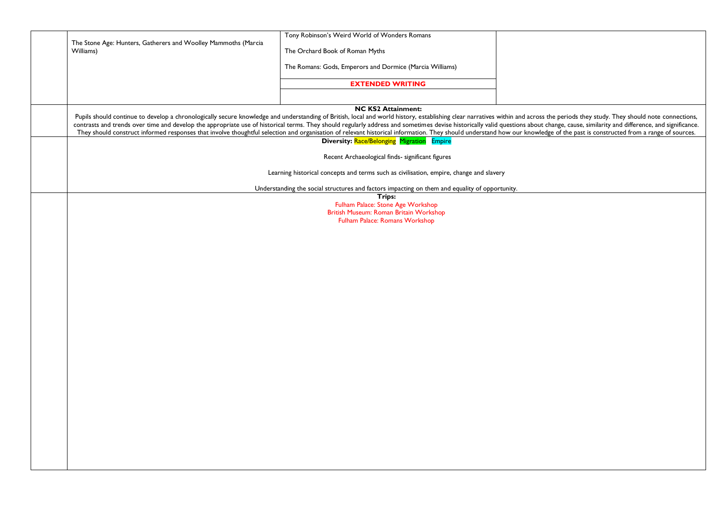|                                                                | Tony Robinson's Weird World of Wonders Romans                                                                                                                                                                                                                                                                                                                                                                                                                                                                                                                                                                                                                                                                                 |  |
|----------------------------------------------------------------|-------------------------------------------------------------------------------------------------------------------------------------------------------------------------------------------------------------------------------------------------------------------------------------------------------------------------------------------------------------------------------------------------------------------------------------------------------------------------------------------------------------------------------------------------------------------------------------------------------------------------------------------------------------------------------------------------------------------------------|--|
| The Stone Age: Hunters, Gatherers and Woolley Mammoths (Marcia |                                                                                                                                                                                                                                                                                                                                                                                                                                                                                                                                                                                                                                                                                                                               |  |
| Williams)                                                      | The Orchard Book of Roman Myths                                                                                                                                                                                                                                                                                                                                                                                                                                                                                                                                                                                                                                                                                               |  |
|                                                                | The Romans: Gods, Emperors and Dormice (Marcia Williams)                                                                                                                                                                                                                                                                                                                                                                                                                                                                                                                                                                                                                                                                      |  |
|                                                                | <b>EXTENDED WRITING</b>                                                                                                                                                                                                                                                                                                                                                                                                                                                                                                                                                                                                                                                                                                       |  |
|                                                                |                                                                                                                                                                                                                                                                                                                                                                                                                                                                                                                                                                                                                                                                                                                               |  |
|                                                                | <b>NC KS2 Attainment:</b><br>Pupils should continue to develop a chronologically secure knowledge and understanding of British, local and world history, establishing clear narratives within and across the periods they study. They should note connectio<br>contrasts and trends over time and develop the appropriate use of historical terms. They should regularly address and sometimes devise historically valid questions about change, cause, similarity and difference, and signif<br>They should construct informed responses that involve thoughtful selection and organisation of relevant historical information. They should understand how our knowledge of the past is constructed from a range of sources. |  |
|                                                                | <b>Diversity: Race/Belonging Migration Empire</b>                                                                                                                                                                                                                                                                                                                                                                                                                                                                                                                                                                                                                                                                             |  |
|                                                                | Recent Archaeological finds- significant figures                                                                                                                                                                                                                                                                                                                                                                                                                                                                                                                                                                                                                                                                              |  |
|                                                                | Learning historical concepts and terms such as civilisation, empire, change and slavery                                                                                                                                                                                                                                                                                                                                                                                                                                                                                                                                                                                                                                       |  |
|                                                                | Understanding the social structures and factors impacting on them and equality of opportunity.                                                                                                                                                                                                                                                                                                                                                                                                                                                                                                                                                                                                                                |  |
|                                                                | Trips:                                                                                                                                                                                                                                                                                                                                                                                                                                                                                                                                                                                                                                                                                                                        |  |
|                                                                | Fulham Palace: Stone Age Workshop<br>British Museum: Roman Britain Workshop                                                                                                                                                                                                                                                                                                                                                                                                                                                                                                                                                                                                                                                   |  |
|                                                                | Fulham Palace: Romans Workshop                                                                                                                                                                                                                                                                                                                                                                                                                                                                                                                                                                                                                                                                                                |  |
|                                                                |                                                                                                                                                                                                                                                                                                                                                                                                                                                                                                                                                                                                                                                                                                                               |  |
|                                                                |                                                                                                                                                                                                                                                                                                                                                                                                                                                                                                                                                                                                                                                                                                                               |  |
|                                                                |                                                                                                                                                                                                                                                                                                                                                                                                                                                                                                                                                                                                                                                                                                                               |  |
|                                                                |                                                                                                                                                                                                                                                                                                                                                                                                                                                                                                                                                                                                                                                                                                                               |  |
|                                                                |                                                                                                                                                                                                                                                                                                                                                                                                                                                                                                                                                                                                                                                                                                                               |  |
|                                                                |                                                                                                                                                                                                                                                                                                                                                                                                                                                                                                                                                                                                                                                                                                                               |  |
|                                                                |                                                                                                                                                                                                                                                                                                                                                                                                                                                                                                                                                                                                                                                                                                                               |  |
|                                                                |                                                                                                                                                                                                                                                                                                                                                                                                                                                                                                                                                                                                                                                                                                                               |  |
|                                                                |                                                                                                                                                                                                                                                                                                                                                                                                                                                                                                                                                                                                                                                                                                                               |  |
|                                                                |                                                                                                                                                                                                                                                                                                                                                                                                                                                                                                                                                                                                                                                                                                                               |  |
|                                                                |                                                                                                                                                                                                                                                                                                                                                                                                                                                                                                                                                                                                                                                                                                                               |  |
|                                                                |                                                                                                                                                                                                                                                                                                                                                                                                                                                                                                                                                                                                                                                                                                                               |  |
|                                                                |                                                                                                                                                                                                                                                                                                                                                                                                                                                                                                                                                                                                                                                                                                                               |  |
|                                                                |                                                                                                                                                                                                                                                                                                                                                                                                                                                                                                                                                                                                                                                                                                                               |  |
|                                                                |                                                                                                                                                                                                                                                                                                                                                                                                                                                                                                                                                                                                                                                                                                                               |  |
|                                                                |                                                                                                                                                                                                                                                                                                                                                                                                                                                                                                                                                                                                                                                                                                                               |  |
|                                                                |                                                                                                                                                                                                                                                                                                                                                                                                                                                                                                                                                                                                                                                                                                                               |  |
|                                                                |                                                                                                                                                                                                                                                                                                                                                                                                                                                                                                                                                                                                                                                                                                                               |  |
|                                                                |                                                                                                                                                                                                                                                                                                                                                                                                                                                                                                                                                                                                                                                                                                                               |  |
|                                                                |                                                                                                                                                                                                                                                                                                                                                                                                                                                                                                                                                                                                                                                                                                                               |  |
|                                                                |                                                                                                                                                                                                                                                                                                                                                                                                                                                                                                                                                                                                                                                                                                                               |  |
|                                                                |                                                                                                                                                                                                                                                                                                                                                                                                                                                                                                                                                                                                                                                                                                                               |  |
|                                                                |                                                                                                                                                                                                                                                                                                                                                                                                                                                                                                                                                                                                                                                                                                                               |  |
|                                                                |                                                                                                                                                                                                                                                                                                                                                                                                                                                                                                                                                                                                                                                                                                                               |  |
|                                                                |                                                                                                                                                                                                                                                                                                                                                                                                                                                                                                                                                                                                                                                                                                                               |  |
|                                                                |                                                                                                                                                                                                                                                                                                                                                                                                                                                                                                                                                                                                                                                                                                                               |  |
|                                                                |                                                                                                                                                                                                                                                                                                                                                                                                                                                                                                                                                                                                                                                                                                                               |  |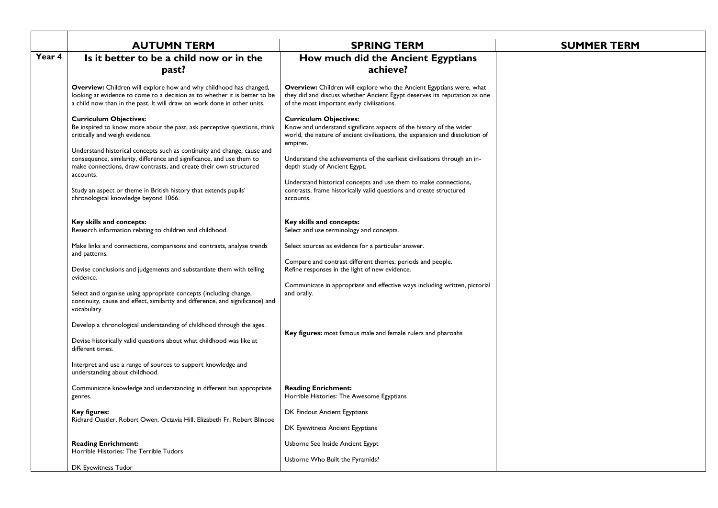|        | <b>AUTUMN TERM</b>                                                                                                                                                                                                                 | <b>SPRING TERM</b>                                                                                                                                                                                     | <b>SUMMER TERM</b> |
|--------|------------------------------------------------------------------------------------------------------------------------------------------------------------------------------------------------------------------------------------|--------------------------------------------------------------------------------------------------------------------------------------------------------------------------------------------------------|--------------------|
| Year 4 | Is it better to be a child now or in the                                                                                                                                                                                           | How much did the Ancient Egyptians                                                                                                                                                                     |                    |
|        | past?                                                                                                                                                                                                                              | achieve?                                                                                                                                                                                               |                    |
|        | Overview: Children will explore how and why childhood has changed,<br>looking at evidence to come to a decision as to whether it is better to be<br>a child now than in the past. It will draw on work done in other units.        | <b>Overview:</b> Children will explore who the Ancient Egyptians were, what<br>they did and discuss whether Ancient Egypt deserves its reputation as one<br>of the most important early civilisations. |                    |
|        | <b>Curriculum Objectives:</b><br>Be inspired to know more about the past, ask perceptive questions, think<br>critically and weigh evidence.                                                                                        | <b>Curriculum Objectives:</b><br>Know and understand significant aspects of the history of the wider<br>world, the nature of ancient civilisations, the expansion and dissolution of<br>empires.       |                    |
|        | Understand historical concepts such as continuity and change, cause and<br>consequence, similarity, difference and significance, and use them to<br>make connections, draw contrasts, and create their own structured<br>accounts. | Understand the achievements of the earliest civilisations through an in-<br>depth study of Ancient Egypt.                                                                                              |                    |
|        | Study an aspect or theme in British history that extends pupils'<br>chronological knowledge beyond 1066.                                                                                                                           | Understand historical concepts and use them to make connections,<br>contrasts, frame historically valid questions and create structured<br>accounts.                                                   |                    |
|        | Key skills and concepts:<br>Research information relating to children and childhood.                                                                                                                                               | Key skills and concepts:<br>Select and use terminology and concepts.                                                                                                                                   |                    |
|        | Make links and connections, comparisons and contrasts, analyse trends<br>and patterns.                                                                                                                                             | Select sources as evidence for a particular answer.                                                                                                                                                    |                    |
|        | Devise conclusions and judgements and substantiate them with telling<br>evidence.                                                                                                                                                  | Compare and contrast different themes, periods and people.<br>Refine responses in the light of new evidence.                                                                                           |                    |
|        | Select and organise using appropriate concepts (including change,<br>continuity, cause and effect, similarity and difference, and significance) and<br>vocabulary.                                                                 | Communicate in appropriate and effective ways including written, pictorial<br>and orally.                                                                                                              |                    |
|        | Develop a chronological understanding of childhood through the ages.<br>Devise historically valid questions about what childhood was like at                                                                                       | Key figures: most famous male and female rulers and pharoahs                                                                                                                                           |                    |
|        | different times.                                                                                                                                                                                                                   |                                                                                                                                                                                                        |                    |
|        | Interpret and use a range of sources to support knowledge and<br>understanding about childhood.                                                                                                                                    |                                                                                                                                                                                                        |                    |
|        | Communicate knowledge and understanding in different but appropriate<br>genres.                                                                                                                                                    | <b>Reading Enrichment:</b><br>Horrible Histories: The Awesome Egyptians                                                                                                                                |                    |
|        | Key figures:<br>Richard Oastler, Robert Owen, Octavia Hill, Elizabeth Fr, Robert Blincoe                                                                                                                                           | DK Findout Ancient Egyptians                                                                                                                                                                           |                    |
|        |                                                                                                                                                                                                                                    | DK Eyewitness Ancient Egyptians                                                                                                                                                                        |                    |
|        | <b>Reading Enrichment:</b><br>Horrible Histories: The Terrible Tudors                                                                                                                                                              | Usborne See Inside Ancient Egypt                                                                                                                                                                       |                    |
|        | DK Eyewitness Tudor                                                                                                                                                                                                                | Usborne Who Built the Pyramids?                                                                                                                                                                        |                    |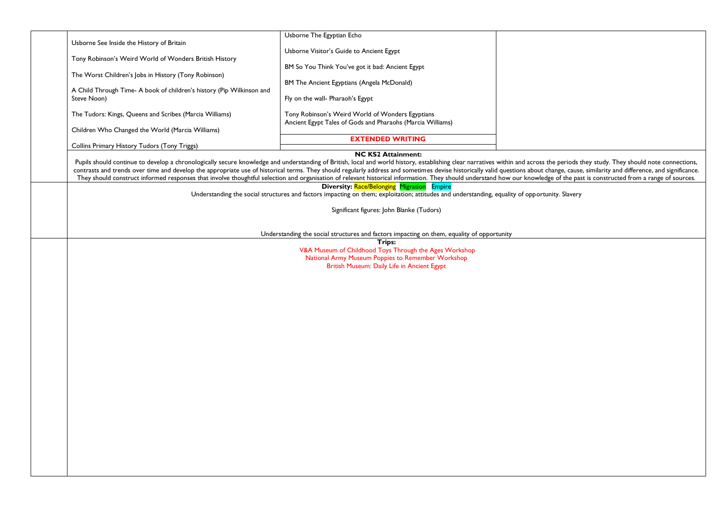|                                                                                     | Usborne The Egyptian Echo                                                                                                                                                                                                      |  |
|-------------------------------------------------------------------------------------|--------------------------------------------------------------------------------------------------------------------------------------------------------------------------------------------------------------------------------|--|
| Usborne See Inside the History of Britain                                           |                                                                                                                                                                                                                                |  |
|                                                                                     | Usborne Visitor's Guide to Ancient Egypt                                                                                                                                                                                       |  |
| Tony Robinson's Weird World of Wonders British History                              |                                                                                                                                                                                                                                |  |
|                                                                                     | BM So You Think You've got it bad: Ancient Egypt                                                                                                                                                                               |  |
| The Worst Children's Jobs in History (Tony Robinson)                                |                                                                                                                                                                                                                                |  |
|                                                                                     | BM The Ancient Egyptians (Angela McDonald)                                                                                                                                                                                     |  |
| A Child Through Time-A book of children's history (Pip Wilkinson and<br>Steve Noon) |                                                                                                                                                                                                                                |  |
|                                                                                     | Fly on the wall- Pharaoh's Egypt                                                                                                                                                                                               |  |
| The Tudors: Kings, Queens and Scribes (Marcia Williams)                             | Tony Robinson's Weird World of Wonders Egyptians                                                                                                                                                                               |  |
|                                                                                     | Ancient Egypt Tales of Gods and Pharaohs (Marcia Williams)                                                                                                                                                                     |  |
| Children Who Changed the World (Marcia Williams)                                    |                                                                                                                                                                                                                                |  |
|                                                                                     | <b>EXTENDED WRITING</b>                                                                                                                                                                                                        |  |
| Collins Primary History Tudors (Tony Triggs)                                        |                                                                                                                                                                                                                                |  |
|                                                                                     | <b>NC KS2 Attainment:</b>                                                                                                                                                                                                      |  |
|                                                                                     | Pupils should continue to develop a chronologically secure knowledge and understanding of British, local and world history, establishing clear narratives within and across the periods they study. They should note connectio |  |
|                                                                                     | contrasts and trends over time and develop the appropriate use of historical terms. They should regularly address and sometimes devise historically valid questions about change, cause, similarity and difference, and signif |  |
|                                                                                     | They should construct informed responses that involve thoughtful selection and organisation of relevant historical information. They should understand how our knowledge of the past is constructed from a range of sources.   |  |
|                                                                                     | <b>Diversity: Race/Belonging Migration Empire</b>                                                                                                                                                                              |  |
|                                                                                     | Understanding the social structures and factors impacting on them; exploitation; attitudes and understanding, equality of opportunity. Slavery                                                                                 |  |
|                                                                                     | Significant figures: John Blanke (Tudors)                                                                                                                                                                                      |  |
|                                                                                     |                                                                                                                                                                                                                                |  |

Understanding the social structures and factors impacting on them, equality of opportunity

**Trips:**

V&A Museum of Childhood Toys Through the Ages Workshop National Army Museum Poppies to Remember Workshop British Museum: Daily Life in Ancient Egypt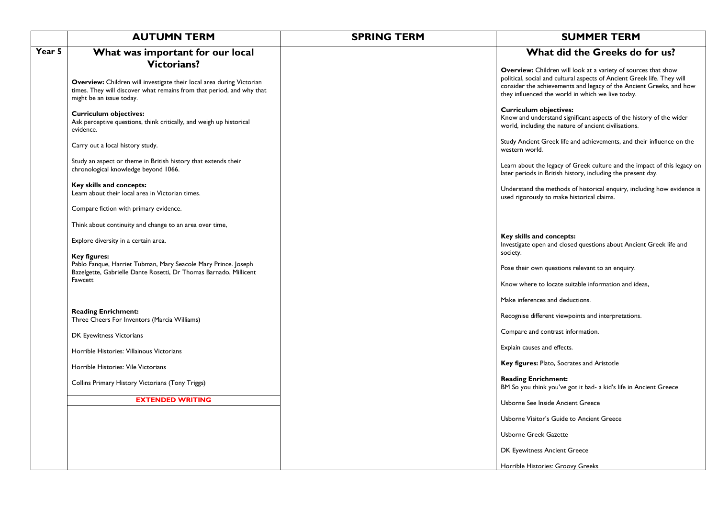|        | <b>AUTUMN TERM</b>                                                                                                                                                                               | <b>SPRING TERM</b> | <b>SUMMER TERM</b>                                                                                                                                                                                                                                                           |
|--------|--------------------------------------------------------------------------------------------------------------------------------------------------------------------------------------------------|--------------------|------------------------------------------------------------------------------------------------------------------------------------------------------------------------------------------------------------------------------------------------------------------------------|
| Year 5 | What was important for our local                                                                                                                                                                 |                    | What did the Greeks do for us?                                                                                                                                                                                                                                               |
|        | <b>Victorians?</b><br>Overview: Children will investigate their local area during Victorian<br>times. They will discover what remains from that period, and why that<br>might be an issue today. |                    | <b>Overview:</b> Children will look at a variety of sources that show<br>political, social and cultural aspects of Ancient Greek life. They will<br>consider the achievements and legacy of the Ancient Greeks, and how<br>they influenced the world in which we live today. |
|        | <b>Curriculum objectives:</b><br>Ask perceptive questions, think critically, and weigh up historical<br>evidence.                                                                                |                    | <b>Curriculum objectives:</b><br>Know and understand significant aspects of the history of the wider<br>world, including the nature of ancient civilisations.                                                                                                                |
|        | Carry out a local history study.                                                                                                                                                                 |                    | Study Ancient Greek life and achievements, and their influence on the<br>western world.                                                                                                                                                                                      |
|        | Study an aspect or theme in British history that extends their<br>chronological knowledge beyond 1066.                                                                                           |                    | Learn about the legacy of Greek culture and the impact of this legacy on<br>later periods in British history, including the present day.                                                                                                                                     |
|        | Key skills and concepts:<br>Learn about their local area in Victorian times.                                                                                                                     |                    | Understand the methods of historical enquiry, including how evidence is<br>used rigorously to make historical claims.                                                                                                                                                        |
|        | Compare fiction with primary evidence.                                                                                                                                                           |                    |                                                                                                                                                                                                                                                                              |
|        | Think about continuity and change to an area over time,                                                                                                                                          |                    |                                                                                                                                                                                                                                                                              |
|        | Explore diversity in a certain area.                                                                                                                                                             |                    | Key skills and concepts:<br>Investigate open and closed questions about Ancient Greek life and                                                                                                                                                                               |
|        | <b>Key figures:</b><br>Pablo Fanque, Harriet Tubman, Mary Seacole Mary Prince. Joseph<br>Bazelgette, Gabrielle Dante Rosetti, Dr Thomas Barnado, Millicent                                       |                    | society.<br>Pose their own questions relevant to an enquiry.                                                                                                                                                                                                                 |
|        | Fawcett                                                                                                                                                                                          |                    | Know where to locate suitable information and ideas,                                                                                                                                                                                                                         |
|        |                                                                                                                                                                                                  |                    | Make inferences and deductions.                                                                                                                                                                                                                                              |
|        | <b>Reading Enrichment:</b><br>Three Cheers For Inventors (Marcia Williams)                                                                                                                       |                    | Recognise different viewpoints and interpretations.                                                                                                                                                                                                                          |
|        | DK Eyewitness Victorians                                                                                                                                                                         |                    | Compare and contrast information.                                                                                                                                                                                                                                            |
|        | Horrible Histories: Villainous Victorians                                                                                                                                                        |                    | Explain causes and effects.                                                                                                                                                                                                                                                  |
|        | Horrible Histories: Vile Victorians                                                                                                                                                              |                    | Key figures: Plato, Socrates and Aristotle                                                                                                                                                                                                                                   |
|        | Collins Primary History Victorians (Tony Triggs)                                                                                                                                                 |                    | <b>Reading Enrichment:</b><br>BM So you think you've got it bad- a kid's life in Ancient Greece                                                                                                                                                                              |
|        | <b>EXTENDED WRITING</b>                                                                                                                                                                          |                    | Usborne See Inside Ancient Greece                                                                                                                                                                                                                                            |
|        |                                                                                                                                                                                                  |                    | Usborne Visitor's Guide to Ancient Greece                                                                                                                                                                                                                                    |
|        |                                                                                                                                                                                                  |                    | <b>Usborne Greek Gazette</b>                                                                                                                                                                                                                                                 |
|        |                                                                                                                                                                                                  |                    | DK Eyewitness Ancient Greece                                                                                                                                                                                                                                                 |
|        |                                                                                                                                                                                                  |                    | Horrible Histories: Groovy Greeks                                                                                                                                                                                                                                            |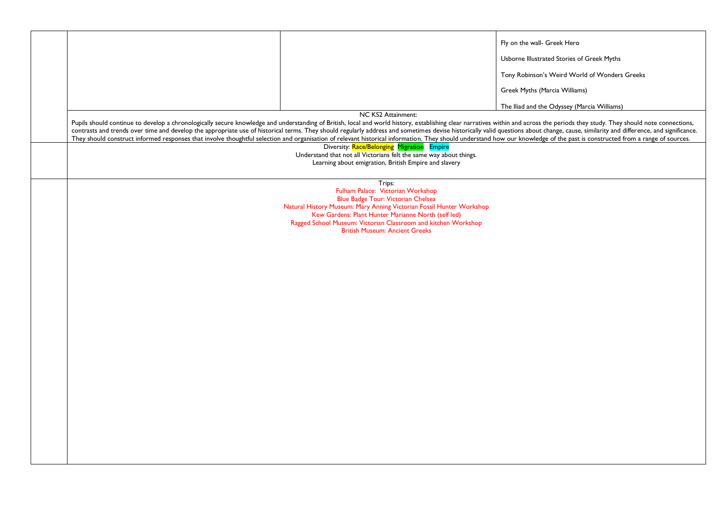|                                   |                                                                                                                                                                                                                                                                                                                                                                                                                                                                  | Fly on the wall- Greek Hero<br>Usborne Illustrated Stories of Greek Myths<br>Tony Robinson's Weird World of Wonders Greeks<br>Greek Myths (Marcia Williams) |
|-----------------------------------|------------------------------------------------------------------------------------------------------------------------------------------------------------------------------------------------------------------------------------------------------------------------------------------------------------------------------------------------------------------------------------------------------------------------------------------------------------------|-------------------------------------------------------------------------------------------------------------------------------------------------------------|
|                                   |                                                                                                                                                                                                                                                                                                                                                                                                                                                                  | The Iliad and the Odyssey (Marcia Williams)                                                                                                                 |
|                                   | NC KS2 Attainment:                                                                                                                                                                                                                                                                                                                                                                                                                                               |                                                                                                                                                             |
|                                   | Pupils should continue to develop a chronologically secure knowledge and understanding of British, local and world history, establishing clear narratives within and across the periods they study. They should note connectio<br>contrasts and trends over time and develop the appropriate use of historical terms. They should regularly address and sometimes devise historically valid questions about change, cause, similarity and difference, and signif |                                                                                                                                                             |
|                                   | They should construct informed responses that involve thoughtful selection and organisation of relevant historical information. They should understand how our knowledge of the past is constructed from a range of sources.                                                                                                                                                                                                                                     |                                                                                                                                                             |
|                                   | Diversity: Race/Belonging Migration Empire                                                                                                                                                                                                                                                                                                                                                                                                                       |                                                                                                                                                             |
|                                   | Understand that not all Victorians felt the same way about things.                                                                                                                                                                                                                                                                                                                                                                                               |                                                                                                                                                             |
|                                   | Learning about emigration, British Empire and slavery                                                                                                                                                                                                                                                                                                                                                                                                            |                                                                                                                                                             |
|                                   |                                                                                                                                                                                                                                                                                                                                                                                                                                                                  |                                                                                                                                                             |
|                                   | Trips:                                                                                                                                                                                                                                                                                                                                                                                                                                                           |                                                                                                                                                             |
| Fulham Palace: Victorian Workshop |                                                                                                                                                                                                                                                                                                                                                                                                                                                                  |                                                                                                                                                             |
|                                   | Blue Badge Tour: Victorian Chelsea                                                                                                                                                                                                                                                                                                                                                                                                                               |                                                                                                                                                             |
|                                   | Natural History Museum: Mary Anning Victorian Fossil Hunter Workshop                                                                                                                                                                                                                                                                                                                                                                                             |                                                                                                                                                             |
|                                   | Kew Gardens: Plant Hunter Marianne North (self led)                                                                                                                                                                                                                                                                                                                                                                                                              |                                                                                                                                                             |
|                                   | Ragged School Museum: Victorian Classroom and kitchen Workshop                                                                                                                                                                                                                                                                                                                                                                                                   |                                                                                                                                                             |
|                                   | <b>British Museum: Ancient Greeks</b>                                                                                                                                                                                                                                                                                                                                                                                                                            |                                                                                                                                                             |
|                                   |                                                                                                                                                                                                                                                                                                                                                                                                                                                                  |                                                                                                                                                             |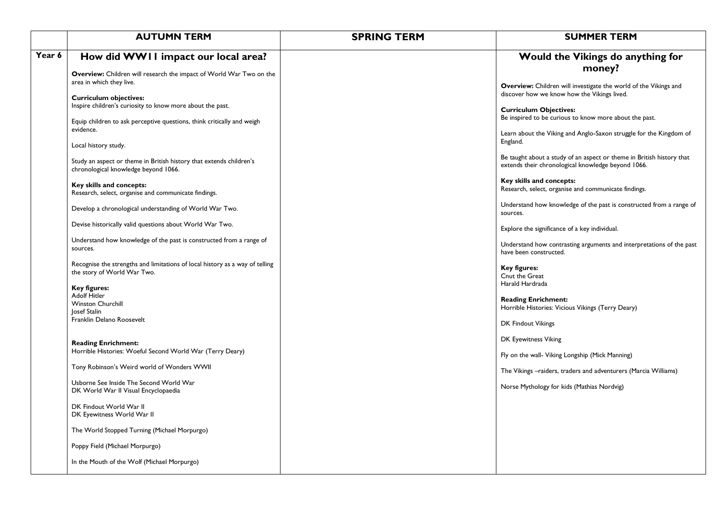|        | <b>AUTUMN TERM</b>                                                                                                                                                                                        | <b>SPRING TERM</b> | <b>SUMMER TERM</b>                                                                                                                                                                                                                                                                                |
|--------|-----------------------------------------------------------------------------------------------------------------------------------------------------------------------------------------------------------|--------------------|---------------------------------------------------------------------------------------------------------------------------------------------------------------------------------------------------------------------------------------------------------------------------------------------------|
| Year 6 | How did WW11 impact our local area?                                                                                                                                                                       |                    | Would the Vikings do anything for                                                                                                                                                                                                                                                                 |
|        | Overview: Children will research the impact of World War Two on the<br>area in which they live.                                                                                                           |                    | money?<br>Overview: Children will investigate the world of the Vikings and                                                                                                                                                                                                                        |
|        | <b>Curriculum objectives:</b><br>Inspire children's curiosity to know more about the past.<br>Equip children to ask perceptive questions, think critically and weigh<br>evidence.<br>Local history study. |                    | discover how we know how the Vikings lived.<br><b>Curriculum Objectives:</b><br>Be inspired to be curious to know more about the past.<br>Learn about the Viking and Anglo-Saxon struggle for the Kingdom of<br>England.<br>Be taught about a study of an aspect or theme in British history that |
|        | Study an aspect or theme in British history that extends children's<br>chronological knowledge beyond 1066.                                                                                               |                    | extends their chronological knowledge beyond 1066.<br>Key skills and concepts:                                                                                                                                                                                                                    |
|        | Key skills and concepts:<br>Research, select, organise and communicate findings.                                                                                                                          |                    | Research, select, organise and communicate findings.                                                                                                                                                                                                                                              |
|        | Develop a chronological understanding of World War Two.                                                                                                                                                   |                    | Understand how knowledge of the past is constructed from a range of<br>sources.                                                                                                                                                                                                                   |
|        | Devise historically valid questions about World War Two.<br>Understand how knowledge of the past is constructed from a range of                                                                           |                    | Explore the significance of a key individual.                                                                                                                                                                                                                                                     |
|        | sources.<br>Recognise the strengths and limitations of local history as a way of telling                                                                                                                  |                    | Understand how contrasting arguments and interpretations of the past<br>have been constructed.                                                                                                                                                                                                    |
|        | the story of World War Two.<br><b>Key figures:</b><br><b>Adolf Hitler</b>                                                                                                                                 |                    | <b>Key figures:</b><br>Cnut the Great<br>Harald Hardrada                                                                                                                                                                                                                                          |
|        | <b>Winston Churchill</b><br>Josef Stalin<br>Franklin Delano Roosevelt                                                                                                                                     |                    | <b>Reading Enrichment:</b><br>Horrible Histories: Vicious Vikings (Terry Deary)                                                                                                                                                                                                                   |
|        | <b>Reading Enrichment:</b>                                                                                                                                                                                |                    | DK Findout Vikings<br>DK Eyewitness Viking                                                                                                                                                                                                                                                        |
|        | Horrible Histories: Woeful Second World War (Terry Deary)                                                                                                                                                 |                    | Fly on the wall- Viking Longship (Mick Manning)                                                                                                                                                                                                                                                   |
|        | Tony Robinson's Weird world of Wonders WWII<br>Usborne See Inside The Second World War                                                                                                                    |                    | The Vikings - raiders, traders and adventurers (Marcia Williams)<br>Norse Mythology for kids (Mathias Nordvig)                                                                                                                                                                                    |
|        | DK World War II Visual Encyclopaedia<br>DK Findout World War II<br>DK Eyewitness World War II                                                                                                             |                    |                                                                                                                                                                                                                                                                                                   |
|        | The World Stopped Turning (Michael Morpurgo)                                                                                                                                                              |                    |                                                                                                                                                                                                                                                                                                   |
|        | Poppy Field (Michael Morpurgo)                                                                                                                                                                            |                    |                                                                                                                                                                                                                                                                                                   |
|        | In the Mouth of the Wolf (Michael Morpurgo)                                                                                                                                                               |                    |                                                                                                                                                                                                                                                                                                   |